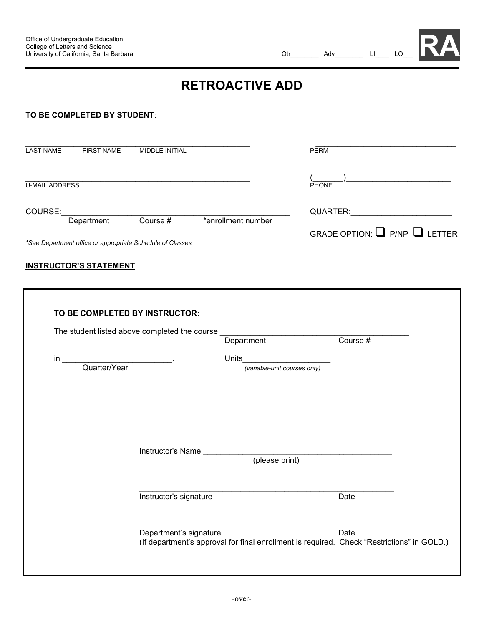**RA**

# **RETROACTIVE ADD**

#### **TO BE COMPLETED BY STUDENT**:

| <b>LAST NAME</b>      | <b>FIRST NAME</b>                                         | <b>MIDDLE INITIAL</b> |                                         | <b>PERM</b>  |
|-----------------------|-----------------------------------------------------------|-----------------------|-----------------------------------------|--------------|
| <b>U-MAIL ADDRESS</b> |                                                           |                       |                                         | <b>PHONE</b> |
| COURSE:               | Department                                                | Course #              | *enrollment number                      | QUARTER:     |
|                       | *See Department office or appropriate Schedule of Classes |                       | GRADE OPTION: $\Box$ P/NP $\Box$ LETTER |              |

#### **INSTRUCTOR'S STATEMENT**

|                    | The student listed above completed the course | Department                   | Course $#$ |  |
|--------------------|-----------------------------------------------|------------------------------|------------|--|
| in<br>Quarter/Year |                                               | Units                        |            |  |
|                    |                                               | (variable-unit courses only) |            |  |
|                    |                                               |                              |            |  |
|                    |                                               |                              |            |  |
|                    |                                               |                              |            |  |
|                    | Instructor's Name                             | (please print)               |            |  |
|                    |                                               |                              |            |  |
|                    | Instructor's signature                        |                              | Date       |  |
|                    |                                               |                              |            |  |
|                    | Department's signature                        |                              | Date       |  |